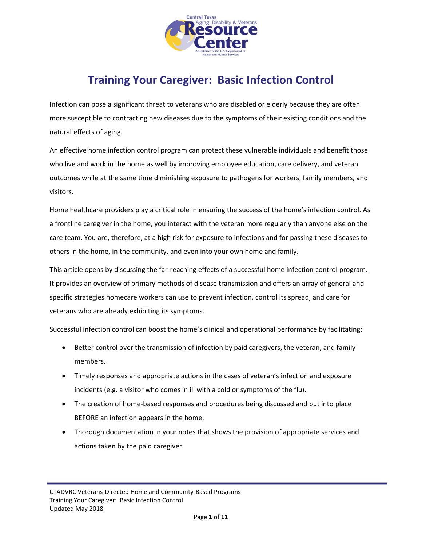

# **Training Your Caregiver: Basic Infection Control**

Infection can pose a significant threat to veterans who are disabled or elderly because they are often more susceptible to contracting new diseases due to the symptoms of their existing conditions and the natural effects of aging.

An effective home infection control program can protect these vulnerable individuals and benefit those who live and work in the home as well by improving employee education, care delivery, and veteran outcomes while at the same time diminishing exposure to pathogens for workers, family members, and visitors.

Home healthcare providers play a critical role in ensuring the success of the home's infection control. As a frontline caregiver in the home, you interact with the veteran more regularly than anyone else on the care team. You are, therefore, at a high risk for exposure to infections and for passing these diseases to others in the home, in the community, and even into your own home and family.

This article opens by discussing the far-reaching effects of a successful home infection control program. It provides an overview of primary methods of disease transmission and offers an array of general and specific strategies homecare workers can use to prevent infection, control its spread, and care for veterans who are already exhibiting its symptoms.

Successful infection control can boost the home's clinical and operational performance by facilitating:

- Better control over the transmission of infection by paid caregivers, the veteran, and family members.
- Timely responses and appropriate actions in the cases of veteran's infection and exposure incidents (e.g. a visitor who comes in ill with a cold or symptoms of the flu).
- The creation of home-based responses and procedures being discussed and put into place BEFORE an infection appears in the home.
- Thorough documentation in your notes that shows the provision of appropriate services and actions taken by the paid caregiver.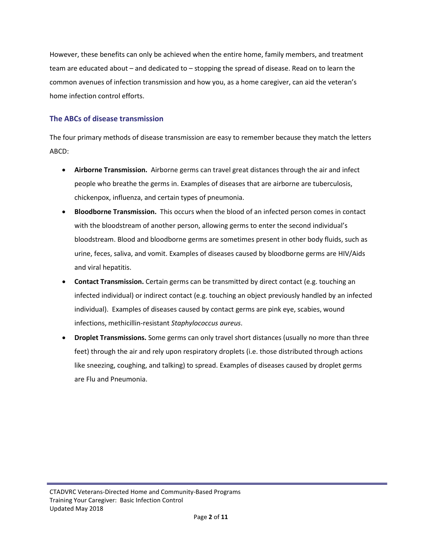However, these benefits can only be achieved when the entire home, family members, and treatment team are educated about – and dedicated to – stopping the spread of disease. Read on to learn the common avenues of infection transmission and how you, as a home caregiver, can aid the veteran's home infection control efforts.

## **The ABCs of disease transmission**

The four primary methods of disease transmission are easy to remember because they match the letters ABCD:

- **Airborne Transmission.** Airborne germs can travel great distances through the air and infect people who breathe the germs in. Examples of diseases that are airborne are tuberculosis, chickenpox, influenza, and certain types of pneumonia.
- **Bloodborne Transmission.** This occurs when the blood of an infected person comes in contact with the bloodstream of another person, allowing germs to enter the second individual's bloodstream. Blood and bloodborne germs are sometimes present in other body fluids, such as urine, feces, saliva, and vomit. Examples of diseases caused by bloodborne germs are HIV/Aids and viral hepatitis.
- **Contact Transmission.** Certain germs can be transmitted by direct contact (e.g. touching an infected individual) or indirect contact (e.g. touching an object previously handled by an infected individual). Examples of diseases caused by contact germs are pink eye, scabies, wound infections, methicillin-resistant *Staphylococcus aureus*.
- **Droplet Transmissions.** Some germs can only travel short distances (usually no more than three feet) through the air and rely upon respiratory droplets (i.e. those distributed through actions like sneezing, coughing, and talking) to spread. Examples of diseases caused by droplet germs are Flu and Pneumonia.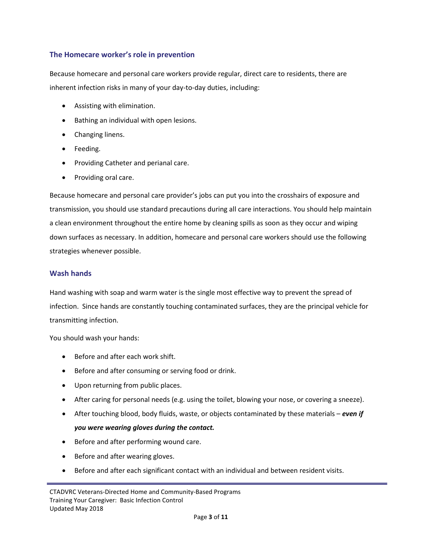## **The Homecare worker's role in prevention**

Because homecare and personal care workers provide regular, direct care to residents, there are inherent infection risks in many of your day-to-day duties, including:

- Assisting with elimination.
- Bathing an individual with open lesions.
- Changing linens.
- Feeding.
- Providing Catheter and perianal care.
- Providing oral care.

Because homecare and personal care provider's jobs can put you into the crosshairs of exposure and transmission, you should use standard precautions during all care interactions. You should help maintain a clean environment throughout the entire home by cleaning spills as soon as they occur and wiping down surfaces as necessary. In addition, homecare and personal care workers should use the following strategies whenever possible.

### **Wash hands**

Hand washing with soap and warm water is the single most effective way to prevent the spread of infection. Since hands are constantly touching contaminated surfaces, they are the principal vehicle for transmitting infection.

You should wash your hands:

- Before and after each work shift.
- Before and after consuming or serving food or drink.
- Upon returning from public places.
- After caring for personal needs (e.g. using the toilet, blowing your nose, or covering a sneeze).
- After touching blood, body fluids, waste, or objects contaminated by these materials *even if you were wearing gloves during the contact.*
- Before and after performing wound care.
- Before and after wearing gloves.
- Before and after each significant contact with an individual and between resident visits.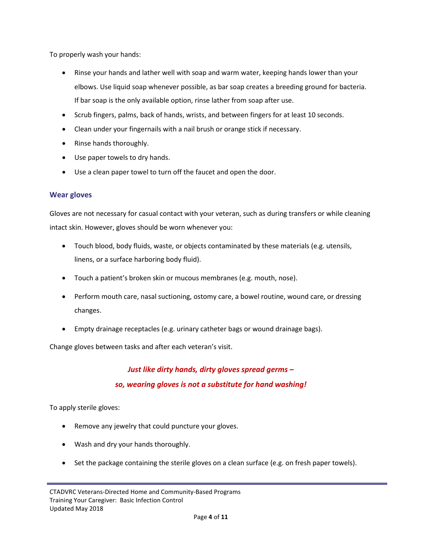To properly wash your hands:

- Rinse your hands and lather well with soap and warm water, keeping hands lower than your elbows. Use liquid soap whenever possible, as bar soap creates a breeding ground for bacteria. If bar soap is the only available option, rinse lather from soap after use.
- Scrub fingers, palms, back of hands, wrists, and between fingers for at least 10 seconds.
- Clean under your fingernails with a nail brush or orange stick if necessary.
- Rinse hands thoroughly.
- Use paper towels to dry hands.
- Use a clean paper towel to turn off the faucet and open the door.

### **Wear gloves**

Gloves are not necessary for casual contact with your veteran, such as during transfers or while cleaning intact skin. However, gloves should be worn whenever you:

- Touch blood, body fluids, waste, or objects contaminated by these materials (e.g. utensils, linens, or a surface harboring body fluid).
- Touch a patient's broken skin or mucous membranes (e.g. mouth, nose).
- Perform mouth care, nasal suctioning, ostomy care, a bowel routine, wound care, or dressing changes.
- Empty drainage receptacles (e.g. urinary catheter bags or wound drainage bags).

Change gloves between tasks and after each veteran's visit.

# *Just like dirty hands, dirty gloves spread germs – so, wearing gloves is not a substitute for hand washing!*

To apply sterile gloves:

- Remove any jewelry that could puncture your gloves.
- Wash and dry your hands thoroughly.
- Set the package containing the sterile gloves on a clean surface (e.g. on fresh paper towels).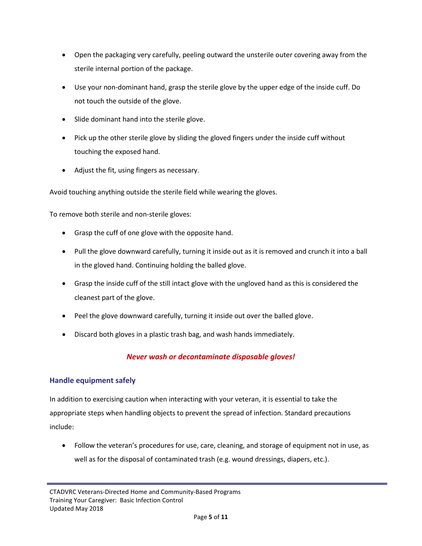- Open the packaging very carefully, peeling outward the unsterile outer covering away from the sterile internal portion of the package.
- Use your non-dominant hand, grasp the sterile glove by the upper edge of the inside cuff. Do not touch the outside of the glove.
- Slide dominant hand into the sterile glove.
- Pick up the other sterile glove by sliding the gloved fingers under the inside cuff without touching the exposed hand.
- Adjust the fit, using fingers as necessary.

Avoid touching anything outside the sterile field while wearing the gloves.

To remove both sterile and non-sterile gloves:

- Grasp the cuff of one glove with the opposite hand.
- Pull the glove downward carefully, turning it inside out as it is removed and crunch it into a ball in the gloved hand. Continuing holding the balled glove.
- Grasp the inside cuff of the still intact glove with the ungloved hand as this is considered the cleanest part of the glove.
- Peel the glove downward carefully, turning it inside out over the balled glove.
- Discard both gloves in a plastic trash bag, and wash hands immediately.

# *Never wash or decontaminate disposable gloves!*

### **Handle equipment safely**

In addition to exercising caution when interacting with your veteran, it is essential to take the appropriate steps when handling objects to prevent the spread of infection. Standard precautions include:

• Follow the veteran's procedures for use, care, cleaning, and storage of equipment not in use, as well as for the disposal of contaminated trash (e.g. wound dressings, diapers, etc.).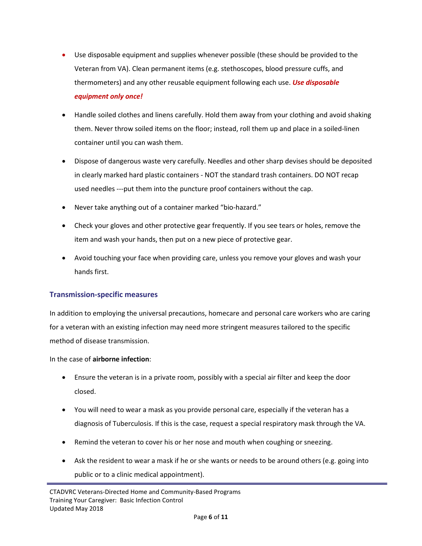- Use disposable equipment and supplies whenever possible (these should be provided to the Veteran from VA). Clean permanent items (e.g. stethoscopes, blood pressure cuffs, and thermometers) and any other reusable equipment following each use. *Use disposable equipment only once!*
- Handle soiled clothes and linens carefully. Hold them away from your clothing and avoid shaking them. Never throw soiled items on the floor; instead, roll them up and place in a soiled-linen container until you can wash them.
- Dispose of dangerous waste very carefully. Needles and other sharp devises should be deposited in clearly marked hard plastic containers - NOT the standard trash containers. DO NOT recap used needles ---put them into the puncture proof containers without the cap.
- Never take anything out of a container marked "bio-hazard."
- Check your gloves and other protective gear frequently. If you see tears or holes, remove the item and wash your hands, then put on a new piece of protective gear.
- Avoid touching your face when providing care, unless you remove your gloves and wash your hands first.

### **Transmission-specific measures**

In addition to employing the universal precautions, homecare and personal care workers who are caring for a veteran with an existing infection may need more stringent measures tailored to the specific method of disease transmission.

In the case of **airborne infection**:

- Ensure the veteran is in a private room, possibly with a special air filter and keep the door closed.
- You will need to wear a mask as you provide personal care, especially if the veteran has a diagnosis of Tuberculosis. If this is the case, request a special respiratory mask through the VA.
- Remind the veteran to cover his or her nose and mouth when coughing or sneezing.
- Ask the resident to wear a mask if he or she wants or needs to be around others (e.g. going into public or to a clinic medical appointment).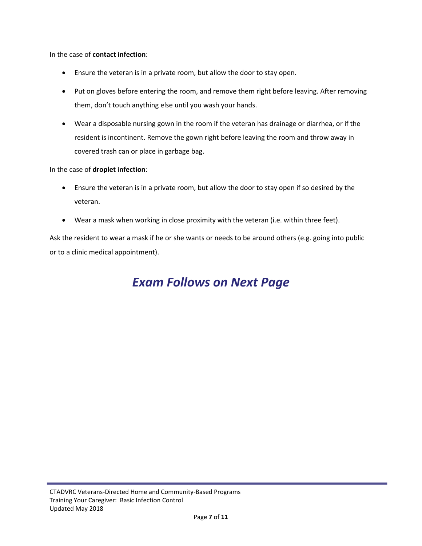In the case of **contact infection**:

- Ensure the veteran is in a private room, but allow the door to stay open.
- Put on gloves before entering the room, and remove them right before leaving. After removing them, don't touch anything else until you wash your hands.
- Wear a disposable nursing gown in the room if the veteran has drainage or diarrhea, or if the resident is incontinent. Remove the gown right before leaving the room and throw away in covered trash can or place in garbage bag.

#### In the case of **droplet infection**:

- Ensure the veteran is in a private room, but allow the door to stay open if so desired by the veteran.
- Wear a mask when working in close proximity with the veteran (i.e. within three feet).

Ask the resident to wear a mask if he or she wants or needs to be around others (e.g. going into public or to a clinic medical appointment).

# *Exam Follows on Next Page*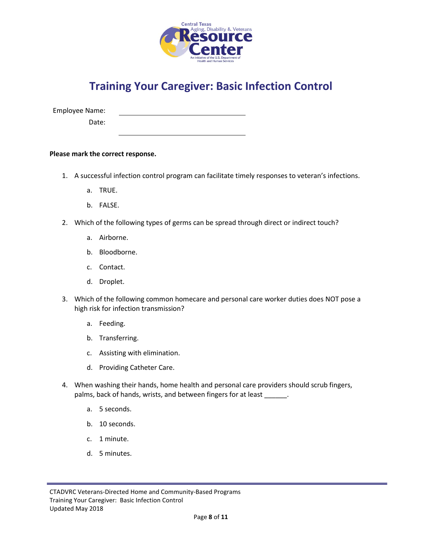

# **Training Your Caregiver: Basic Infection Control**

Employee Name:

Date:

**Please mark the correct response.**

- 1. A successful infection control program can facilitate timely responses to veteran's infections.
	- a. TRUE.
	- b. FALSE.
- 2. Which of the following types of germs can be spread through direct or indirect touch?
	- a. Airborne.
	- b. Bloodborne.
	- c. Contact.
	- d. Droplet.
- 3. Which of the following common homecare and personal care worker duties does NOT pose a high risk for infection transmission?
	- a. Feeding.
	- b. Transferring.
	- c. Assisting with elimination.
	- d. Providing Catheter Care.
- 4. When washing their hands, home health and personal care providers should scrub fingers, palms, back of hands, wrists, and between fingers for at least \_\_\_\_\_\_.
	- a. 5 seconds.
	- b. 10 seconds.
	- c. 1 minute.
	- d. 5 minutes.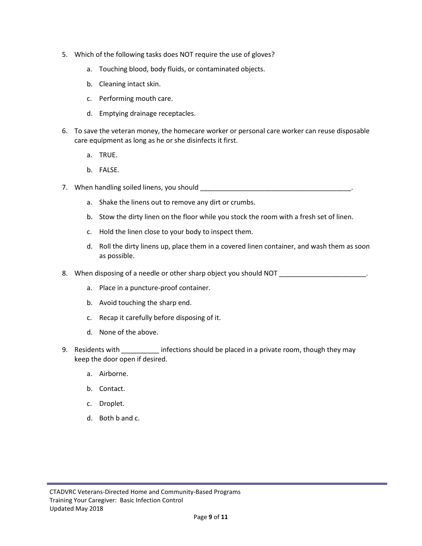- 5. Which of the following tasks does NOT require the use of gloves?
	- a. Touching blood, body fluids, or contaminated objects.
	- b. Cleaning intact skin.
	- c. Performing mouth care.
	- d. Emptying drainage receptacles.
- 6. To save the veteran money, the homecare worker or personal care worker can reuse disposable care equipment as long as he or she disinfects it first.
	- a. TRUE.
	- b. FALSE.
- 7. When handling soiled linens, you should **with an allocated and the solution** of the state of the state of the state of the state of the state of the state of the state of the state of the state of the state of the state
	- a. Shake the linens out to remove any dirt or crumbs.
	- b. Stow the dirty linen on the floor while you stock the room with a fresh set of linen.
	- c. Hold the linen close to your body to inspect them.
	- d. Roll the dirty linens up, place them in a covered linen container, and wash them as soon as possible.

8. When disposing of a needle or other sharp object you should NOT \_\_\_\_\_\_\_\_\_\_\_\_\_\_\_\_\_\_\_\_\_\_.

- a. Place in a puncture-proof container.
- b. Avoid touching the sharp end.
- c. Recap it carefully before disposing of it.
- d. None of the above.
- 9. Residents with **Example 2.** infections should be placed in a private room, though they may keep the door open if desired.
	- a. Airborne.
	- b. Contact.
	- c. Droplet.
	- d. Both b and c.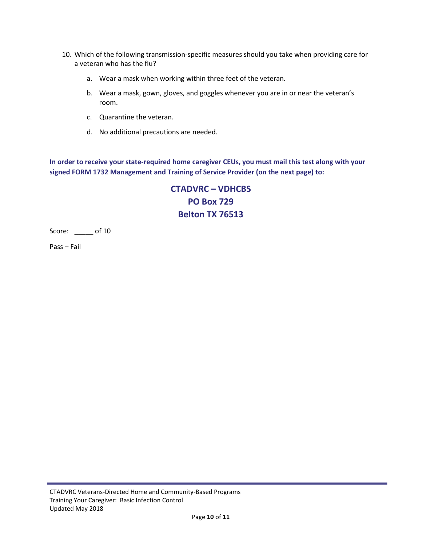- 10. Which of the following transmission-specific measures should you take when providing care for a veteran who has the flu?
	- a. Wear a mask when working within three feet of the veteran.
	- b. Wear a mask, gown, gloves, and goggles whenever you are in or near the veteran's room.
	- c. Quarantine the veteran.
	- d. No additional precautions are needed.

**In order to receive your state-required home caregiver CEUs, you must mail this test along with your signed FORM 1732 Management and Training of Service Provider (on the next page) to:**

> **CTADVRC – VDHCBS PO Box 729 Belton TX 76513**

Score: \_\_\_\_\_ of 10

Pass – Fail